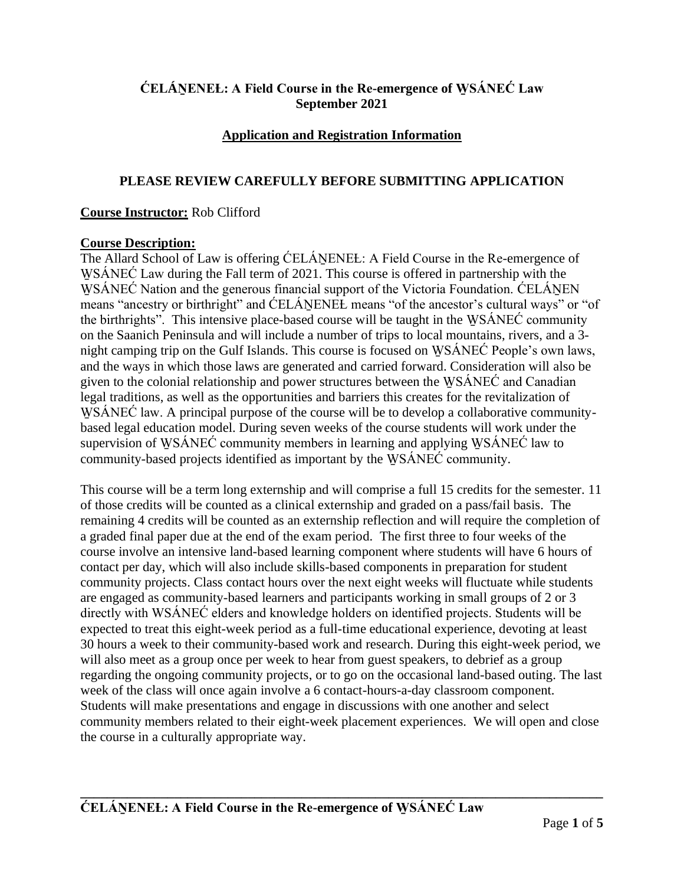# **ĆELÁṈENEȽ: A Field Course in the Re-emergence of W̱ SÁNEĆ Law September 2021**

# **Application and Registration Information**

## **PLEASE REVIEW CAREFULLY BEFORE SUBMITTING APPLICATION**

#### **Course Instructor:** Rob Clifford

#### **Course Description:**

The Allard School of Law is offering CELANENEL: A Field Course in the Re-emergence of WSÁNEC Law during the Fall term of 2021. This course is offered in partnership with the WSÁNEĆ Nation and the generous financial support of the Victoria Foundation. ĆELÁNEN means "ancestry or birthright" and CELÁNENEL means "of the ancestor's cultural ways" or "of the birthrights". This intensive place-based course will be taught in the WSANEC community on the Saanich Peninsula and will include a number of trips to local mountains, rivers, and a 3 night camping trip on the Gulf Islands. This course is focused on WSÁNEĆ People's own laws, and the ways in which those laws are generated and carried forward. Consideration will also be given to the colonial relationship and power structures between the WSÁNEĆ and Canadian legal traditions, as well as the opportunities and barriers this creates for the revitalization of WSÁNEC law. A principal purpose of the course will be to develop a collaborative communitybased legal education model. During seven weeks of the course students will work under the supervision of WSÁNEĆ community members in learning and applying WSÁNEĆ law to community-based projects identified as important by the WSÁNEĆ community.

This course will be a term long externship and will comprise a full 15 credits for the semester. 11 of those credits will be counted as a clinical externship and graded on a pass/fail basis. The remaining 4 credits will be counted as an externship reflection and will require the completion of a graded final paper due at the end of the exam period. The first three to four weeks of the course involve an intensive land-based learning component where students will have 6 hours of contact per day, which will also include skills-based components in preparation for student community projects. Class contact hours over the next eight weeks will fluctuate while students are engaged as community-based learners and participants working in small groups of 2 or 3 directly with WSÁNEĆ elders and knowledge holders on identified projects. Students will be expected to treat this eight-week period as a full-time educational experience, devoting at least 30 hours a week to their community-based work and research. During this eight-week period, we will also meet as a group once per week to hear from guest speakers, to debrief as a group regarding the ongoing community projects, or to go on the occasional land-based outing. The last week of the class will once again involve a 6 contact-hours-a-day classroom component. Students will make presentations and engage in discussions with one another and select community members related to their eight-week placement experiences. We will open and close the course in a culturally appropriate way.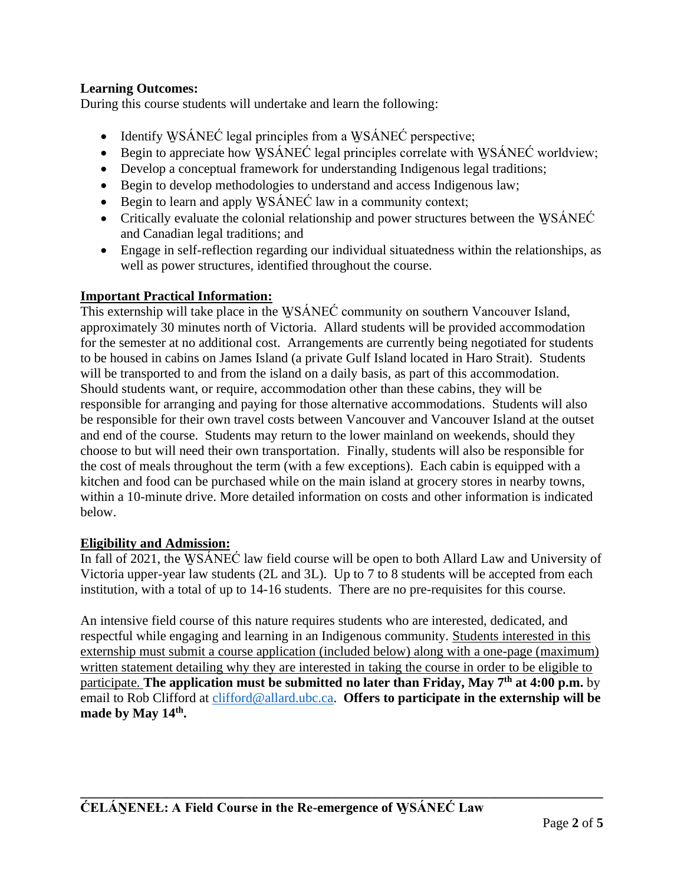## **Learning Outcomes:**

During this course students will undertake and learn the following:

- Identify WSÁNEĆ legal principles from a WSÁNEĆ perspective;
- Begin to appreciate how WSÁNEC legal principles correlate with WSÁNEC worldview;
- Develop a conceptual framework for understanding Indigenous legal traditions;
- Begin to develop methodologies to understand and access Indigenous law;
- Begin to learn and apply WSÁNEC law in a community context;
- Critically evaluate the colonial relationship and power structures between the WSANEC and Canadian legal traditions; and
- Engage in self-reflection regarding our individual situatedness within the relationships, as well as power structures, identified throughout the course.

## **Important Practical Information:**

This externship will take place in the WSÁNEC community on southern Vancouver Island, approximately 30 minutes north of Victoria. Allard students will be provided accommodation for the semester at no additional cost. Arrangements are currently being negotiated for students to be housed in cabins on James Island (a private Gulf Island located in Haro Strait). Students will be transported to and from the island on a daily basis, as part of this accommodation. Should students want, or require, accommodation other than these cabins, they will be responsible for arranging and paying for those alternative accommodations. Students will also be responsible for their own travel costs between Vancouver and Vancouver Island at the outset and end of the course. Students may return to the lower mainland on weekends, should they choose to but will need their own transportation. Finally, students will also be responsible for the cost of meals throughout the term (with a few exceptions). Each cabin is equipped with a kitchen and food can be purchased while on the main island at grocery stores in nearby towns, within a 10-minute drive. More detailed information on costs and other information is indicated below.

## **Eligibility and Admission:**

In fall of 2021, the WSANEC law field course will be open to both Allard Law and University of Victoria upper-year law students (2L and 3L). Up to 7 to 8 students will be accepted from each institution, with a total of up to 14-16 students. There are no pre-requisites for this course.

An intensive field course of this nature requires students who are interested, dedicated, and respectful while engaging and learning in an Indigenous community. Students interested in this externship must submit a course application (included below) along with a one-page (maximum) written statement detailing why they are interested in taking the course in order to be eligible to participate. **The application must be submitted no later than Friday, May 7 th at 4:00 p.m.** by email to Rob Clifford at [clifford@allard.ubc.ca.](mailto:clifford@allard.ubc.ca) **Offers to participate in the externship will be made by May 14th .**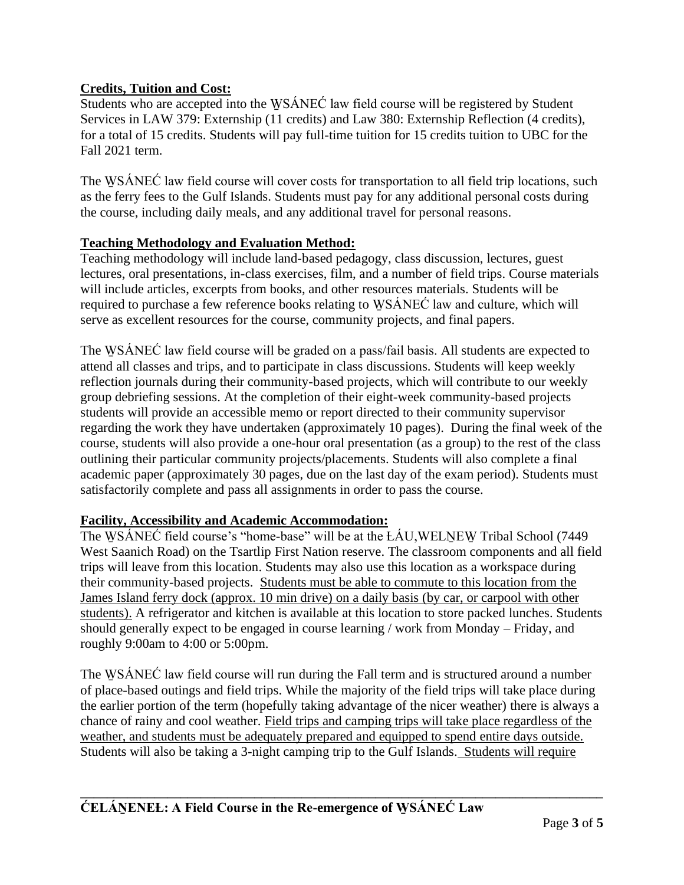# **Credits, Tuition and Cost:**

Students who are accepted into the WSÁNEĆ law field course will be registered by Student Services in LAW 379: Externship (11 credits) and Law 380: Externship Reflection (4 credits), for a total of 15 credits. Students will pay full-time tuition for 15 credits tuition to UBC for the Fall 2021 term.

The WSÁNEC law field course will cover costs for transportation to all field trip locations, such as the ferry fees to the Gulf Islands. Students must pay for any additional personal costs during the course, including daily meals, and any additional travel for personal reasons.

## **Teaching Methodology and Evaluation Method:**

Teaching methodology will include land-based pedagogy, class discussion, lectures, guest lectures, oral presentations, in-class exercises, film, and a number of field trips. Course materials will include articles, excerpts from books, and other resources materials. Students will be required to purchase a few reference books relating to WSANEC law and culture, which will serve as excellent resources for the course, community projects, and final papers.

The WSÁNEC law field course will be graded on a pass/fail basis. All students are expected to attend all classes and trips, and to participate in class discussions. Students will keep weekly reflection journals during their community-based projects, which will contribute to our weekly group debriefing sessions. At the completion of their eight-week community-based projects students will provide an accessible memo or report directed to their community supervisor regarding the work they have undertaken (approximately 10 pages). During the final week of the course, students will also provide a one-hour oral presentation (as a group) to the rest of the class outlining their particular community projects/placements. Students will also complete a final academic paper (approximately 30 pages, due on the last day of the exam period). Students must satisfactorily complete and pass all assignments in order to pass the course.

## **Facility, Accessibility and Academic Accommodation:**

The WSÁNEC field course's "home-base" will be at the ŁÁU,WELNEW Tribal School (7449 West Saanich Road) on the Tsartlip First Nation reserve. The classroom components and all field trips will leave from this location. Students may also use this location as a workspace during their community-based projects. Students must be able to commute to this location from the James Island ferry dock (approx. 10 min drive) on a daily basis (by car, or carpool with other students). A refrigerator and kitchen is available at this location to store packed lunches. Students should generally expect to be engaged in course learning / work from Monday – Friday, and roughly 9:00am to 4:00 or 5:00pm.

The WSÁNEC law field course will run during the Fall term and is structured around a number of place-based outings and field trips. While the majority of the field trips will take place during the earlier portion of the term (hopefully taking advantage of the nicer weather) there is always a chance of rainy and cool weather. Field trips and camping trips will take place regardless of the weather, and students must be adequately prepared and equipped to spend entire days outside. Students will also be taking a 3-night camping trip to the Gulf Islands. Students will require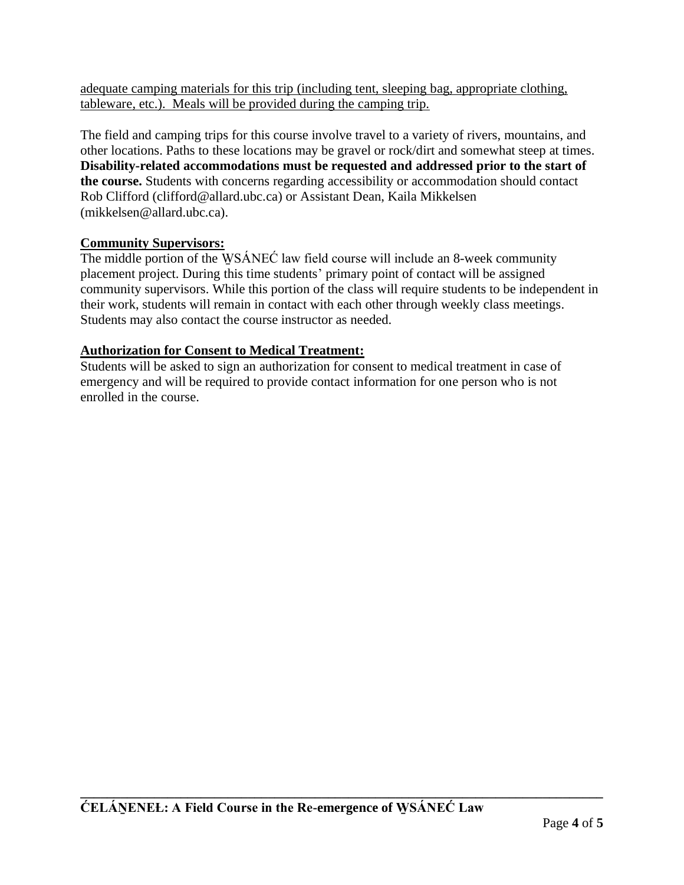adequate camping materials for this trip (including tent, sleeping bag, appropriate clothing, tableware, etc.). Meals will be provided during the camping trip.

The field and camping trips for this course involve travel to a variety of rivers, mountains, and other locations. Paths to these locations may be gravel or rock/dirt and somewhat steep at times. **Disability-related accommodations must be requested and addressed prior to the start of the course.** Students with concerns regarding accessibility or accommodation should contact Rob Clifford (clifford@allard.ubc.ca) or Assistant Dean, Kaila Mikkelsen (mikkelsen@allard.ubc.ca).

# **Community Supervisors:**

The middle portion of the WSÁNEC law field course will include an 8-week community placement project. During this time students' primary point of contact will be assigned community supervisors. While this portion of the class will require students to be independent in their work, students will remain in contact with each other through weekly class meetings. Students may also contact the course instructor as needed.

# **Authorization for Consent to Medical Treatment:**

Students will be asked to sign an authorization for consent to medical treatment in case of emergency and will be required to provide contact information for one person who is not enrolled in the course.